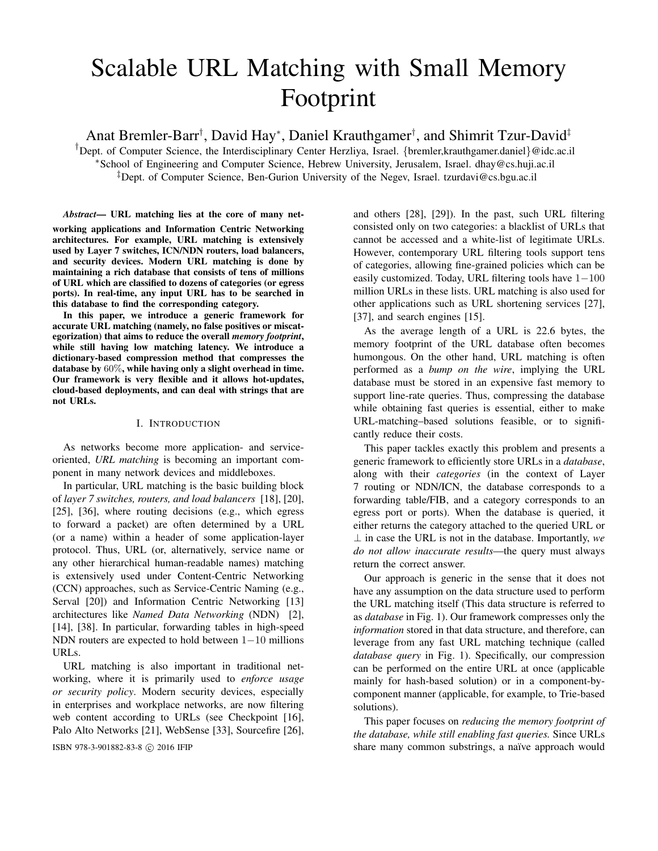# Scalable URL Matching with Small Memory Footprint

Anat Bremler-Barr† , David Hay<sup>∗</sup> , Daniel Krauthgamer† , and Shimrit Tzur-David‡

<sup>†</sup>Dept. of Computer Science, the Interdisciplinary Center Herzliya, Israel. {bremler,krauthgamer.daniel}@idc.ac.il <sup>∗</sup>School of Engineering and Computer Science, Hebrew University, Jerusalem, Israel. dhay@cs.huji.ac.il ‡Dept. of Computer Science, Ben-Gurion University of the Negev, Israel. tzurdavi@cs.bgu.ac.il

*Abstract*— URL matching lies at the core of many networking applications and Information Centric Networking architectures. For example, URL matching is extensively used by Layer 7 switches, ICN/NDN routers, load balancers, and security devices. Modern URL matching is done by maintaining a rich database that consists of tens of millions of URL which are classified to dozens of categories (or egress ports). In real-time, any input URL has to be searched in this database to find the corresponding category.

In this paper, we introduce a generic framework for accurate URL matching (namely, no false positives or miscategorization) that aims to reduce the overall *memory footprint*, while still having low matching latency. We introduce a dictionary-based compression method that compresses the database by 60%, while having only a slight overhead in time. Our framework is very flexible and it allows hot-updates, cloud-based deployments, and can deal with strings that are not URLs.

## I. INTRODUCTION

As networks become more application- and serviceoriented, *URL matching* is becoming an important component in many network devices and middleboxes.

In particular, URL matching is the basic building block of *layer 7 switches, routers, and load balancers* [18], [20], [25], [36], where routing decisions (e.g., which egress to forward a packet) are often determined by a URL (or a name) within a header of some application-layer protocol. Thus, URL (or, alternatively, service name or any other hierarchical human-readable names) matching is extensively used under Content-Centric Networking (CCN) approaches, such as Service-Centric Naming (e.g., Serval [20]) and Information Centric Networking [13] architectures like *Named Data Networking* (NDN) [2], [14], [38]. In particular, forwarding tables in high-speed NDN routers are expected to hold between 1−10 millions URLs.

URL matching is also important in traditional networking, where it is primarily used to *enforce usage or security policy*. Modern security devices, especially in enterprises and workplace networks, are now filtering web content according to URLs (see Checkpoint [16], Palo Alto Networks [21], WebSense [33], Sourcefire [26],

and others [28], [29]). In the past, such URL filtering consisted only on two categories: a blacklist of URLs that cannot be accessed and a white-list of legitimate URLs. However, contemporary URL filtering tools support tens of categories, allowing fine-grained policies which can be easily customized. Today, URL filtering tools have 1−100 million URLs in these lists. URL matching is also used for other applications such as URL shortening services [27], [37], and search engines [15].

As the average length of a URL is 22.6 bytes, the memory footprint of the URL database often becomes humongous. On the other hand, URL matching is often performed as a *bump on the wire*, implying the URL database must be stored in an expensive fast memory to support line-rate queries. Thus, compressing the database while obtaining fast queries is essential, either to make URL-matching–based solutions feasible, or to significantly reduce their costs.

This paper tackles exactly this problem and presents a generic framework to efficiently store URLs in a *database*, along with their *categories* (in the context of Layer 7 routing or NDN/ICN, the database corresponds to a forwarding table/FIB, and a category corresponds to an egress port or ports). When the database is queried, it either returns the category attached to the queried URL or ⊥ in case the URL is not in the database. Importantly, *we do not allow inaccurate results*—the query must always return the correct answer.

Our approach is generic in the sense that it does not have any assumption on the data structure used to perform the URL matching itself (This data structure is referred to as *database* in Fig. 1). Our framework compresses only the *information* stored in that data structure, and therefore, can leverage from any fast URL matching technique (called *database query* in Fig. 1). Specifically, our compression can be performed on the entire URL at once (applicable mainly for hash-based solution) or in a component-bycomponent manner (applicable, for example, to Trie-based solutions).

This paper focuses on *reducing the memory footprint of the database, while still enabling fast queries.* Since URLs ISBN 978-3-901882-83-8 © 2016 IFIP share many common substrings, a naïve approach would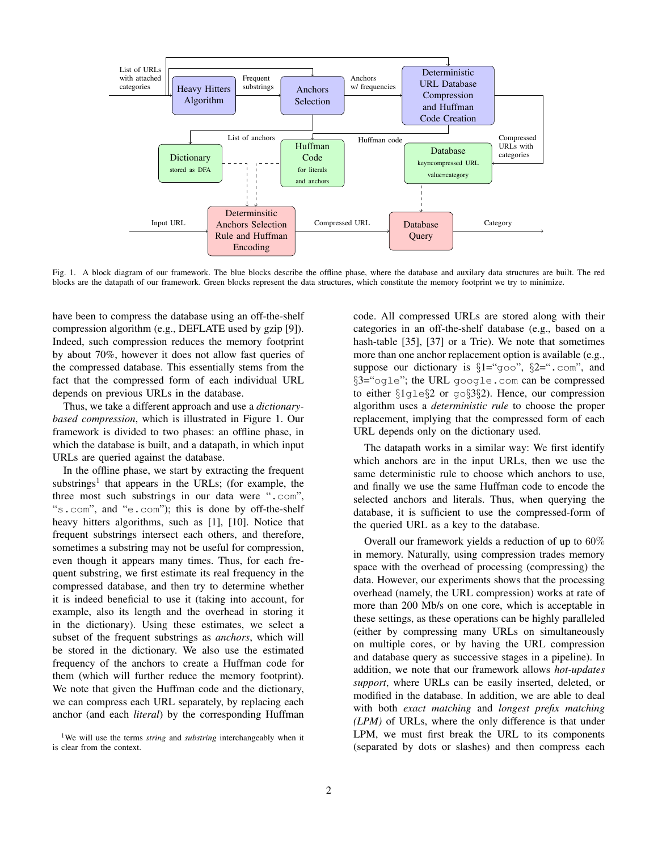

Fig. 1. A block diagram of our framework. The blue blocks describe the offline phase, where the database and auxilary data structures are built. The red blocks are the datapath of our framework. Green blocks represent the data structures, which constitute the memory footprint we try to minimize.

have been to compress the database using an off-the-shelf compression algorithm (e.g., DEFLATE used by gzip [9]). Indeed, such compression reduces the memory footprint by about 70%, however it does not allow fast queries of the compressed database. This essentially stems from the fact that the compressed form of each individual URL depends on previous URLs in the database.

Thus, we take a different approach and use a *dictionarybased compression*, which is illustrated in Figure 1. Our framework is divided to two phases: an offline phase, in which the database is built, and a datapath, in which input URLs are queried against the database.

In the offline phase, we start by extracting the frequent substrings<sup>1</sup> that appears in the URLs; (for example, the three most such substrings in our data were ".com", "s.com", and "e.com"); this is done by off-the-shelf heavy hitters algorithms, such as [1], [10]. Notice that frequent substrings intersect each others, and therefore, sometimes a substring may not be useful for compression, even though it appears many times. Thus, for each frequent substring, we first estimate its real frequency in the compressed database, and then try to determine whether it is indeed beneficial to use it (taking into account, for example, also its length and the overhead in storing it in the dictionary). Using these estimates, we select a subset of the frequent substrings as *anchors*, which will be stored in the dictionary. We also use the estimated frequency of the anchors to create a Huffman code for them (which will further reduce the memory footprint). We note that given the Huffman code and the dictionary, we can compress each URL separately, by replacing each anchor (and each *literal*) by the corresponding Huffman

code. All compressed URLs are stored along with their categories in an off-the-shelf database (e.g., based on a hash-table [35], [37] or a Trie). We note that sometimes more than one anchor replacement option is available (e.g., suppose our dictionary is  $\S1 = \text{``qoo''}, \S2 = \text{``.com''},$  and §3="ogle"; the URL google.com can be compressed to either §1gle§2 or go§3§2). Hence, our compression algorithm uses a *deterministic rule* to choose the proper replacement, implying that the compressed form of each URL depends only on the dictionary used.

The datapath works in a similar way: We first identify which anchors are in the input URLs, then we use the same deterministic rule to choose which anchors to use, and finally we use the same Huffman code to encode the selected anchors and literals. Thus, when querying the database, it is sufficient to use the compressed-form of the queried URL as a key to the database.

Overall our framework yields a reduction of up to 60% in memory. Naturally, using compression trades memory space with the overhead of processing (compressing) the data. However, our experiments shows that the processing overhead (namely, the URL compression) works at rate of more than 200 Mb/s on one core, which is acceptable in these settings, as these operations can be highly paralleled (either by compressing many URLs on simultaneously on multiple cores, or by having the URL compression and database query as successive stages in a pipeline). In addition, we note that our framework allows *hot-updates support*, where URLs can be easily inserted, deleted, or modified in the database. In addition, we are able to deal with both *exact matching* and *longest prefix matching (LPM)* of URLs, where the only difference is that under LPM, we must first break the URL to its components (separated by dots or slashes) and then compress each

<sup>&</sup>lt;sup>1</sup>We will use the terms *string* and *substring* interchangeably when it is clear from the context.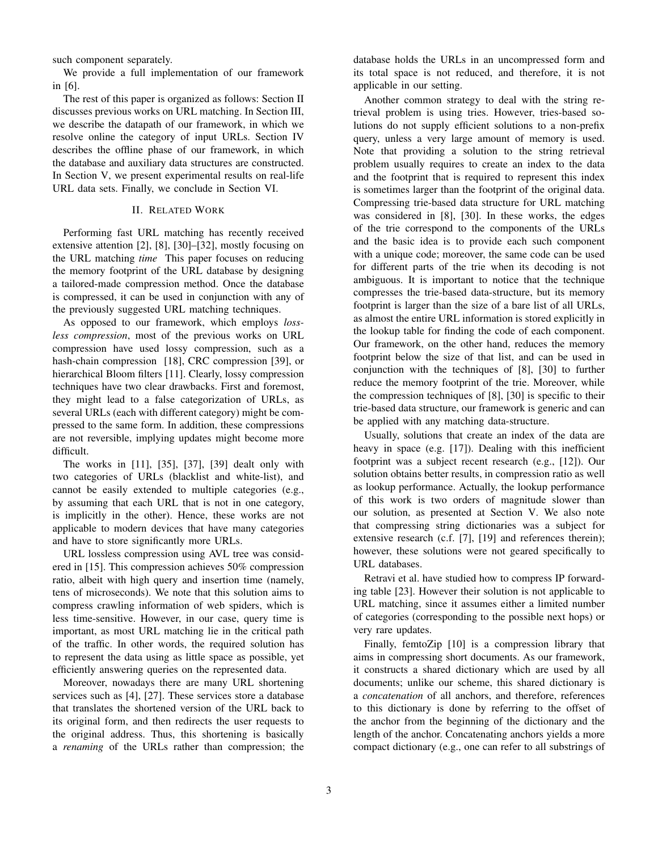such component separately.

We provide a full implementation of our framework in [6].

The rest of this paper is organized as follows: Section II discusses previous works on URL matching. In Section III, we describe the datapath of our framework, in which we resolve online the category of input URLs. Section IV describes the offline phase of our framework, in which the database and auxiliary data structures are constructed. In Section V, we present experimental results on real-life URL data sets. Finally, we conclude in Section VI.

## II. RELATED WORK

Performing fast URL matching has recently received extensive attention [2], [8], [30]–[32], mostly focusing on the URL matching *time* This paper focuses on reducing the memory footprint of the URL database by designing a tailored-made compression method. Once the database is compressed, it can be used in conjunction with any of the previously suggested URL matching techniques.

As opposed to our framework, which employs *lossless compression*, most of the previous works on URL compression have used lossy compression, such as a hash-chain compression [18], CRC compression [39], or hierarchical Bloom filters [11]. Clearly, lossy compression techniques have two clear drawbacks. First and foremost, they might lead to a false categorization of URLs, as several URLs (each with different category) might be compressed to the same form. In addition, these compressions are not reversible, implying updates might become more difficult.

The works in [11], [35], [37], [39] dealt only with two categories of URLs (blacklist and white-list), and cannot be easily extended to multiple categories (e.g., by assuming that each URL that is not in one category, is implicitly in the other). Hence, these works are not applicable to modern devices that have many categories and have to store significantly more URLs.

URL lossless compression using AVL tree was considered in [15]. This compression achieves 50% compression ratio, albeit with high query and insertion time (namely, tens of microseconds). We note that this solution aims to compress crawling information of web spiders, which is less time-sensitive. However, in our case, query time is important, as most URL matching lie in the critical path of the traffic. In other words, the required solution has to represent the data using as little space as possible, yet efficiently answering queries on the represented data.

Moreover, nowadays there are many URL shortening services such as [4], [27]. These services store a database that translates the shortened version of the URL back to its original form, and then redirects the user requests to the original address. Thus, this shortening is basically a *renaming* of the URLs rather than compression; the database holds the URLs in an uncompressed form and its total space is not reduced, and therefore, it is not applicable in our setting.

Another common strategy to deal with the string retrieval problem is using tries. However, tries-based solutions do not supply efficient solutions to a non-prefix query, unless a very large amount of memory is used. Note that providing a solution to the string retrieval problem usually requires to create an index to the data and the footprint that is required to represent this index is sometimes larger than the footprint of the original data. Compressing trie-based data structure for URL matching was considered in [8], [30]. In these works, the edges of the trie correspond to the components of the URLs and the basic idea is to provide each such component with a unique code; moreover, the same code can be used for different parts of the trie when its decoding is not ambiguous. It is important to notice that the technique compresses the trie-based data-structure, but its memory footprint is larger than the size of a bare list of all URLs, as almost the entire URL information is stored explicitly in the lookup table for finding the code of each component. Our framework, on the other hand, reduces the memory footprint below the size of that list, and can be used in conjunction with the techniques of [8], [30] to further reduce the memory footprint of the trie. Moreover, while the compression techniques of [8], [30] is specific to their trie-based data structure, our framework is generic and can be applied with any matching data-structure.

Usually, solutions that create an index of the data are heavy in space (e.g. [17]). Dealing with this inefficient footprint was a subject recent research (e.g., [12]). Our solution obtains better results, in compression ratio as well as lookup performance. Actually, the lookup performance of this work is two orders of magnitude slower than our solution, as presented at Section V. We also note that compressing string dictionaries was a subject for extensive research (c.f. [7], [19] and references therein); however, these solutions were not geared specifically to URL databases.

Retravi et al. have studied how to compress IP forwarding table [23]. However their solution is not applicable to URL matching, since it assumes either a limited number of categories (corresponding to the possible next hops) or very rare updates.

Finally, femtoZip [10] is a compression library that aims in compressing short documents. As our framework, it constructs a shared dictionary which are used by all documents; unlike our scheme, this shared dictionary is a *concatenation* of all anchors, and therefore, references to this dictionary is done by referring to the offset of the anchor from the beginning of the dictionary and the length of the anchor. Concatenating anchors yields a more compact dictionary (e.g., one can refer to all substrings of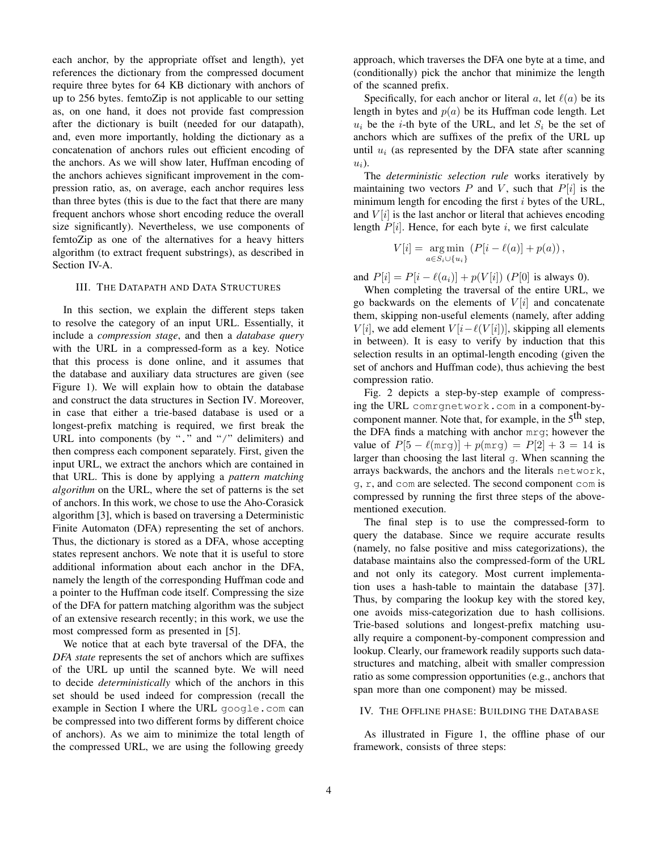each anchor, by the appropriate offset and length), yet references the dictionary from the compressed document require three bytes for 64 KB dictionary with anchors of up to 256 bytes. femtoZip is not applicable to our setting as, on one hand, it does not provide fast compression after the dictionary is built (needed for our datapath), and, even more importantly, holding the dictionary as a concatenation of anchors rules out efficient encoding of the anchors. As we will show later, Huffman encoding of the anchors achieves significant improvement in the compression ratio, as, on average, each anchor requires less than three bytes (this is due to the fact that there are many frequent anchors whose short encoding reduce the overall size significantly). Nevertheless, we use components of femtoZip as one of the alternatives for a heavy hitters algorithm (to extract frequent substrings), as described in Section IV-A.

## III. THE DATAPATH AND DATA STRUCTURES

In this section, we explain the different steps taken to resolve the category of an input URL. Essentially, it include a *compression stage*, and then a *database query* with the URL in a compressed-form as a key. Notice that this process is done online, and it assumes that the database and auxiliary data structures are given (see Figure 1). We will explain how to obtain the database and construct the data structures in Section IV. Moreover, in case that either a trie-based database is used or a longest-prefix matching is required, we first break the URL into components (by "." and "/" delimiters) and then compress each component separately. First, given the input URL, we extract the anchors which are contained in that URL. This is done by applying a *pattern matching algorithm* on the URL, where the set of patterns is the set of anchors. In this work, we chose to use the Aho-Corasick algorithm [3], which is based on traversing a Deterministic Finite Automaton (DFA) representing the set of anchors. Thus, the dictionary is stored as a DFA, whose accepting states represent anchors. We note that it is useful to store additional information about each anchor in the DFA, namely the length of the corresponding Huffman code and a pointer to the Huffman code itself. Compressing the size of the DFA for pattern matching algorithm was the subject of an extensive research recently; in this work, we use the most compressed form as presented in [5].

We notice that at each byte traversal of the DFA, the *DFA state* represents the set of anchors which are suffixes of the URL up until the scanned byte. We will need to decide *deterministically* which of the anchors in this set should be used indeed for compression (recall the example in Section I where the URL google.com can be compressed into two different forms by different choice of anchors). As we aim to minimize the total length of the compressed URL, we are using the following greedy approach, which traverses the DFA one byte at a time, and (conditionally) pick the anchor that minimize the length of the scanned prefix.

Specifically, for each anchor or literal a, let  $\ell(a)$  be its length in bytes and  $p(a)$  be its Huffman code length. Let  $u_i$  be the *i*-th byte of the URL, and let  $S_i$  be the set of anchors which are suffixes of the prefix of the URL up until  $u_i$  (as represented by the DFA state after scanning  $u_i$ ).

The *deterministic selection rule* works iteratively by maintaining two vectors  $P$  and  $V$ , such that  $P[i]$  is the minimum length for encoding the first  $i$  bytes of the URL, and  $V[i]$  is the last anchor or literal that achieves encoding length  $P[i]$ . Hence, for each byte i, we first calculate

$$
V[i] = \underset{a \in S_i \cup \{u_i\}}{\arg \min} (P[i - \ell(a)] + p(a)),
$$

and  $P[i] = P[i - \ell(a_i)] + p(V[i])$  (P[0] is always 0).

When completing the traversal of the entire URL, we go backwards on the elements of  $V[i]$  and concatenate them, skipping non-useful elements (namely, after adding  $V[i]$ , we add element  $V[i-\ell(V[i])]$ , skipping all elements in between). It is easy to verify by induction that this selection results in an optimal-length encoding (given the set of anchors and Huffman code), thus achieving the best compression ratio.

Fig. 2 depicts a step-by-step example of compressing the URL comrgnetwork.com in a component-bycomponent manner. Note that, for example, in the  $5<sup>th</sup>$  step, the DFA finds a matching with anchor mrg; however the value of  $P[5 - \ell(mrg)] + p(mrg) = P[2] + 3 = 14$  is larger than choosing the last literal g. When scanning the arrays backwards, the anchors and the literals network, g, r, and com are selected. The second component com is compressed by running the first three steps of the abovementioned execution.

The final step is to use the compressed-form to query the database. Since we require accurate results (namely, no false positive and miss categorizations), the database maintains also the compressed-form of the URL and not only its category. Most current implementation uses a hash-table to maintain the database [37]. Thus, by comparing the lookup key with the stored key, one avoids miss-categorization due to hash collisions. Trie-based solutions and longest-prefix matching usually require a component-by-component compression and lookup. Clearly, our framework readily supports such datastructures and matching, albeit with smaller compression ratio as some compression opportunities (e.g., anchors that span more than one component) may be missed.

## IV. THE OFFLINE PHASE: BUILDING THE DATABASE

As illustrated in Figure 1, the offline phase of our framework, consists of three steps: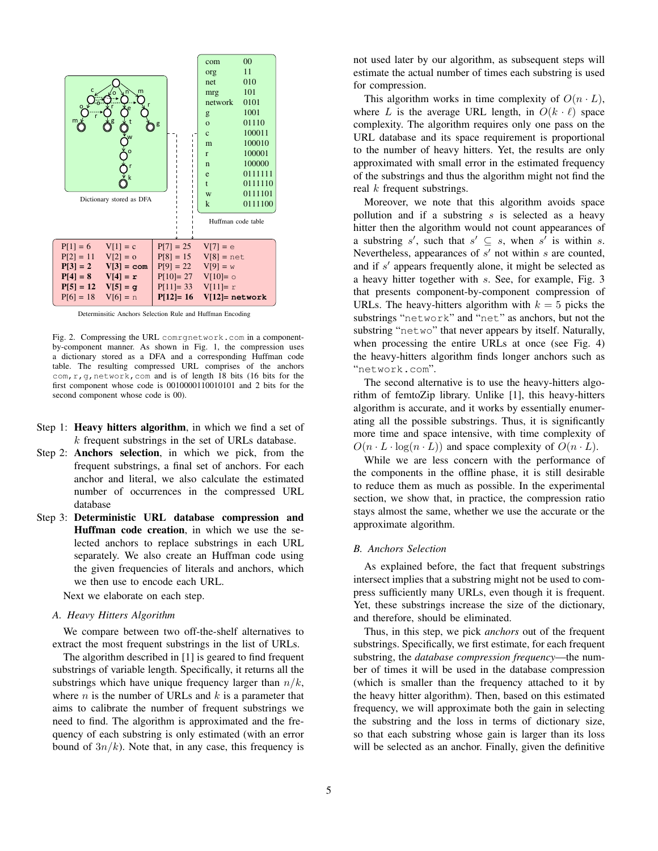

Determinsitic Anchors Selection Rule and Huffman Encoding

Fig. 2. Compressing the URL comrgnetwork.com in a componentby-component manner. As shown in Fig. 1, the compression uses a dictionary stored as a DFA and a corresponding Huffman code table. The resulting compressed URL comprises of the anchors com,r,g,network,com and is of length 18 bits (16 bits for the first component whose code is 0010000110010101 and 2 bits for the second component whose code is 00).

- Step 1: Heavy hitters algorithm, in which we find a set of  $k$  frequent substrings in the set of URLs database.
- Step 2: Anchors selection, in which we pick, from the frequent substrings, a final set of anchors. For each anchor and literal, we also calculate the estimated number of occurrences in the compressed URL database
- Step 3: Deterministic URL database compression and Huffman code creation, in which we use the selected anchors to replace substrings in each URL separately. We also create an Huffman code using the given frequencies of literals and anchors, which we then use to encode each URL.

Next we elaborate on each step.

## *A. Heavy Hitters Algorithm*

We compare between two off-the-shelf alternatives to extract the most frequent substrings in the list of URLs.

The algorithm described in [1] is geared to find frequent substrings of variable length. Specifically, it returns all the substrings which have unique frequency larger than  $n/k$ , where  $n$  is the number of URLs and  $k$  is a parameter that aims to calibrate the number of frequent substrings we need to find. The algorithm is approximated and the frequency of each substring is only estimated (with an error bound of  $3n/k$ ). Note that, in any case, this frequency is not used later by our algorithm, as subsequent steps will estimate the actual number of times each substring is used for compression.

This algorithm works in time complexity of  $O(n L)$ , where L is the average URL length, in  $O(k \cdot \ell)$  space complexity. The algorithm requires only one pass on the URL database and its space requirement is proportional to the number of heavy hitters. Yet, the results are only approximated with small error in the estimated frequency of the substrings and thus the algorithm might not find the real  $k$  frequent substrings.

Moreover, we note that this algorithm avoids space pollution and if a substring  $s$  is selected as a heavy hitter then the algorithm would not count appearances of a substring s', such that  $s' \subseteq s$ , when s' is within s. Nevertheless, appearances of  $s'$  not within  $s$  are counted, and if  $s'$  appears frequently alone, it might be selected as a heavy hitter together with s. See, for example, Fig. 3 that presents component-by-component compression of URLs. The heavy-hitters algorithm with  $k = 5$  picks the substrings "network" and "net" as anchors, but not the substring "netwo" that never appears by itself. Naturally, when processing the entire URLs at once (see Fig. 4) the heavy-hitters algorithm finds longer anchors such as "network.com".

The second alternative is to use the heavy-hitters algorithm of femtoZip library. Unlike [1], this heavy-hitters algorithm is accurate, and it works by essentially enumerating all the possible substrings. Thus, it is significantly more time and space intensive, with time complexity of  $O(n \cdot L \cdot \log(n \cdot L))$  and space complexity of  $O(n \cdot L)$ .

While we are less concern with the performance of the components in the offline phase, it is still desirable to reduce them as much as possible. In the experimental section, we show that, in practice, the compression ratio stays almost the same, whether we use the accurate or the approximate algorithm.

## *B. Anchors Selection*

As explained before, the fact that frequent substrings intersect implies that a substring might not be used to compress sufficiently many URLs, even though it is frequent. Yet, these substrings increase the size of the dictionary, and therefore, should be eliminated.

Thus, in this step, we pick *anchors* out of the frequent substrings. Specifically, we first estimate, for each frequent substring, the *database compression frequency*—the number of times it will be used in the database compression (which is smaller than the frequency attached to it by the heavy hitter algorithm). Then, based on this estimated frequency, we will approximate both the gain in selecting the substring and the loss in terms of dictionary size, so that each substring whose gain is larger than its loss will be selected as an anchor. Finally, given the definitive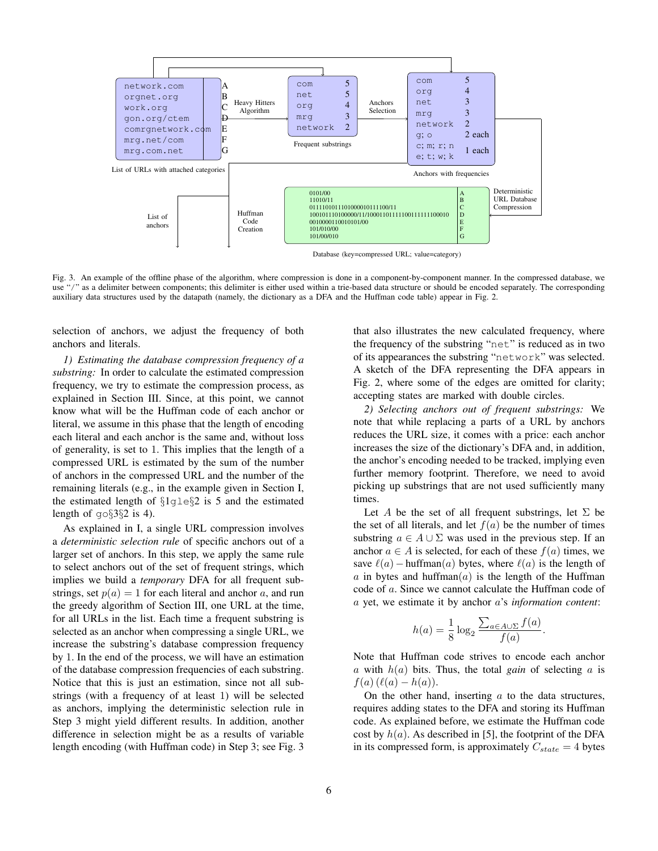

Fig. 3. An example of the offline phase of the algorithm, where compression is done in a component-by-component manner. In the compressed database, we use "/" as a delimiter between components; this delimiter is either used within a trie-based data structure or should be encoded separately. The corresponding auxiliary data structures used by the datapath (namely, the dictionary as a DFA and the Huffman code table) appear in Fig. 2.

selection of anchors, we adjust the frequency of both anchors and literals.

*1) Estimating the database compression frequency of a substring:* In order to calculate the estimated compression frequency, we try to estimate the compression process, as explained in Section III. Since, at this point, we cannot know what will be the Huffman code of each anchor or literal, we assume in this phase that the length of encoding each literal and each anchor is the same and, without loss of generality, is set to 1. This implies that the length of a compressed URL is estimated by the sum of the number of anchors in the compressed URL and the number of the remaining literals (e.g., in the example given in Section I, the estimated length of §1gle§2 is 5 and the estimated length of  $q \circ § 3§ 2$  is 4).

As explained in I, a single URL compression involves a *deterministic selection rule* of specific anchors out of a larger set of anchors. In this step, we apply the same rule to select anchors out of the set of frequent strings, which implies we build a *temporary* DFA for all frequent substrings, set  $p(a) = 1$  for each literal and anchor a, and run the greedy algorithm of Section III, one URL at the time, for all URLs in the list. Each time a frequent substring is selected as an anchor when compressing a single URL, we increase the substring's database compression frequency by 1. In the end of the process, we will have an estimation of the database compression frequencies of each substring. Notice that this is just an estimation, since not all substrings (with a frequency of at least 1) will be selected as anchors, implying the deterministic selection rule in Step 3 might yield different results. In addition, another difference in selection might be as a results of variable length encoding (with Huffman code) in Step 3; see Fig. 3 that also illustrates the new calculated frequency, where the frequency of the substring "net" is reduced as in two of its appearances the substring "network" was selected. A sketch of the DFA representing the DFA appears in Fig. 2, where some of the edges are omitted for clarity; accepting states are marked with double circles.

*2) Selecting anchors out of frequent substrings:* We note that while replacing a parts of a URL by anchors reduces the URL size, it comes with a price: each anchor increases the size of the dictionary's DFA and, in addition, the anchor's encoding needed to be tracked, implying even further memory footprint. Therefore, we need to avoid picking up substrings that are not used sufficiently many times.

Let A be the set of all frequent substrings, let  $\Sigma$  be the set of all literals, and let  $f(a)$  be the number of times substring  $a \in A \cup \Sigma$  was used in the previous step. If an anchor  $a \in A$  is selected, for each of these  $f(a)$  times, we save  $\ell(a)$  − huffman(a) bytes, where  $\ell(a)$  is the length of a in bytes and huffman $(a)$  is the length of the Huffman code of a. Since we cannot calculate the Huffman code of a yet, we estimate it by anchor a's *information content*:

$$
h(a) = \frac{1}{8} \log_2 \frac{\sum_{a \in A \cup \Sigma} f(a)}{f(a)}.
$$

Note that Huffman code strives to encode each anchor a with  $h(a)$  bits. Thus, the total *gain* of selecting a is  $f(a) (\ell(a) - h(a)).$ 

On the other hand, inserting  $a$  to the data structures, requires adding states to the DFA and storing its Huffman code. As explained before, we estimate the Huffman code cost by  $h(a)$ . As described in [5], the footprint of the DFA in its compressed form, is approximately  $C_{state} = 4$  bytes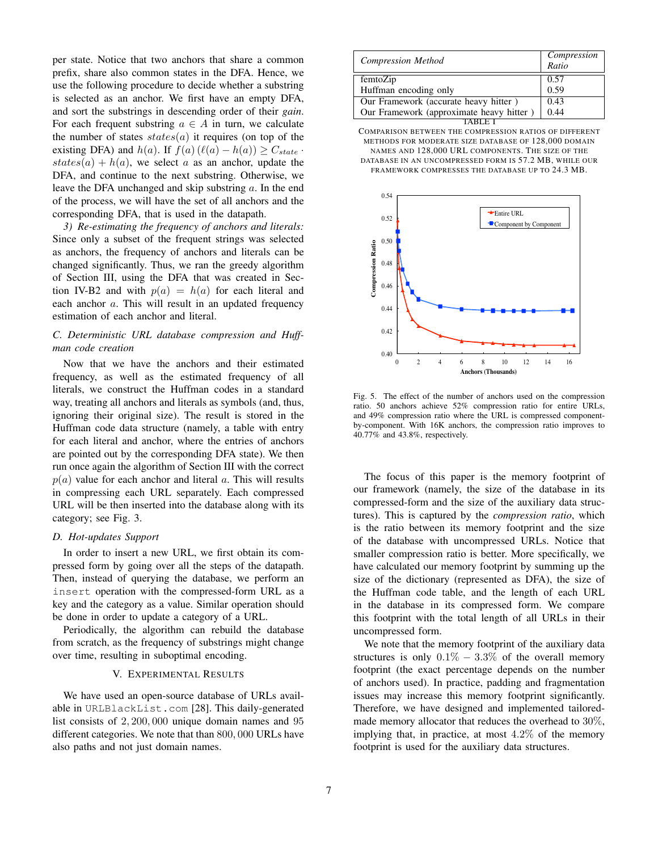per state. Notice that two anchors that share a common prefix, share also common states in the DFA. Hence, we use the following procedure to decide whether a substring is selected as an anchor. We first have an empty DFA, and sort the substrings in descending order of their *gain*. For each frequent substring  $a \in A$  in turn, we calculate the number of states  $states(a)$  it requires (on top of the existing DFA) and  $h(a)$ . If  $f(a)$  ( $\ell(a) - h(a)$ ) >  $C_{state}$ . states(a) + h(a), we select a as an anchor, update the DFA, and continue to the next substring. Otherwise, we leave the DFA unchanged and skip substring a. In the end of the process, we will have the set of all anchors and the corresponding DFA, that is used in the datapath.

*3) Re-estimating the frequency of anchors and literals:* Since only a subset of the frequent strings was selected as anchors, the frequency of anchors and literals can be changed significantly. Thus, we ran the greedy algorithm of Section III, using the DFA that was created in Section IV-B2 and with  $p(a) = h(a)$  for each literal and each anchor a. This will result in an updated frequency estimation of each anchor and literal.

## *C. Deterministic URL database compression and Huffman code creation*

Now that we have the anchors and their estimated frequency, as well as the estimated frequency of all literals, we construct the Huffman codes in a standard way, treating all anchors and literals as symbols (and, thus, ignoring their original size). The result is stored in the Huffman code data structure (namely, a table with entry for each literal and anchor, where the entries of anchors are pointed out by the corresponding DFA state). We then run once again the algorithm of Section III with the correct  $p(a)$  value for each anchor and literal a. This will results in compressing each URL separately. Each compressed URL will be then inserted into the database along with its category; see Fig. 3.

## *D. Hot-updates Support*

In order to insert a new URL, we first obtain its compressed form by going over all the steps of the datapath. Then, instead of querying the database, we perform an insert operation with the compressed-form URL as a key and the category as a value. Similar operation should be done in order to update a category of a URL.

Periodically, the algorithm can rebuild the database from scratch, as the frequency of substrings might change over time, resulting in suboptimal encoding.

## V. EXPERIMENTAL RESULTS

We have used an open-source database of URLs available in URLBlackList.com [28]. This daily-generated list consists of 2, 200, 000 unique domain names and 95 different categories. We note that than 800, 000 URLs have also paths and not just domain names.

| <b>Compression Method</b>                | Compression<br>Ratio |
|------------------------------------------|----------------------|
| femtoZip                                 | 0.57                 |
| Huffman encoding only                    | 0.59                 |
| Our Framework (accurate heavy hitter)    | 0.43                 |
| Our Framework (approximate heavy hitter) | 0.44                 |
|                                          |                      |

COMPARISON BETWEEN THE COMPRESSION RATIOS OF DIFFERENT METHODS FOR MODERATE SIZE DATABASE OF 128,000 DOMAIN NAMES AND 128,000 URL COMPONENTS. THE SIZE OF THE DATABASE IN AN UNCOMPRESSED FORM IS 57.2 MB, WHILE OUR FRAMEWORK COMPRESSES THE DATABASE UP TO 24.3 MB.



Fig. 5. The effect of the number of anchors used on the compression ratio. 50 anchors achieve 52% compression ratio for entire URLs, and 49% compression ratio where the URL is compressed componentby-component. With 16K anchors, the compression ratio improves to 40.77% and 43.8%, respectively.

The focus of this paper is the memory footprint of our framework (namely, the size of the database in its compressed-form and the size of the auxiliary data structures). This is captured by the *compression ratio*, which is the ratio between its memory footprint and the size of the database with uncompressed URLs. Notice that smaller compression ratio is better. More specifically, we have calculated our memory footprint by summing up the size of the dictionary (represented as DFA), the size of the Huffman code table, and the length of each URL in the database in its compressed form. We compare this footprint with the total length of all URLs in their uncompressed form.

We note that the memory footprint of the auxiliary data structures is only  $0.1\% - 3.3\%$  of the overall memory footprint (the exact percentage depends on the number of anchors used). In practice, padding and fragmentation issues may increase this memory footprint significantly. Therefore, we have designed and implemented tailoredmade memory allocator that reduces the overhead to 30%, implying that, in practice, at most 4.2% of the memory footprint is used for the auxiliary data structures.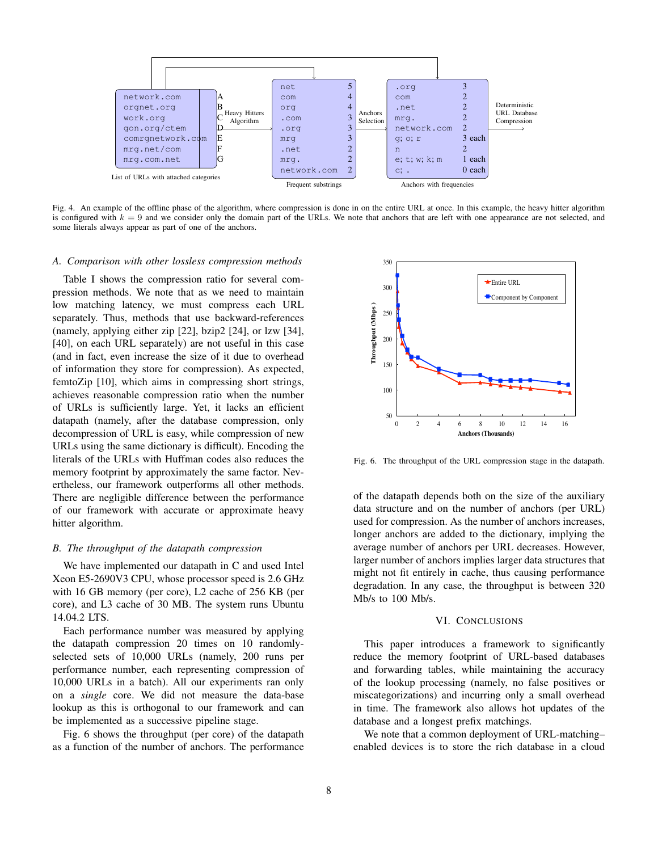

Fig. 4. An example of the offline phase of the algorithm, where compression is done in on the entire URL at once. In this example, the heavy hitter algorithm is configured with  $k = 9$  and we consider only the domain part of the URLs. We note that anchors that are left with one appearance are not selected, and some literals always appear as part of one of the anchors.

### *A. Comparison with other lossless compression methods*

Table I shows the compression ratio for several compression methods. We note that as we need to maintain low matching latency, we must compress each URL separately. Thus, methods that use backward-references (namely, applying either zip [22], bzip2 [24], or lzw [34], [40], on each URL separately) are not useful in this case (and in fact, even increase the size of it due to overhead of information they store for compression). As expected, femtoZip [10], which aims in compressing short strings, achieves reasonable compression ratio when the number of URLs is sufficiently large. Yet, it lacks an efficient datapath (namely, after the database compression, only decompression of URL is easy, while compression of new URLs using the same dictionary is difficult). Encoding the literals of the URLs with Huffman codes also reduces the memory footprint by approximately the same factor. Nevertheless, our framework outperforms all other methods. There are negligible difference between the performance of our framework with accurate or approximate heavy hitter algorithm.

## *B. The throughput of the datapath compression*

We have implemented our datapath in C and used Intel Xeon E5-2690V3 CPU, whose processor speed is 2.6 GHz with 16 GB memory (per core), L2 cache of 256 KB (per core), and L3 cache of 30 MB. The system runs Ubuntu 14.04.2 LTS.

Each performance number was measured by applying the datapath compression 20 times on 10 randomlyselected sets of 10,000 URLs (namely, 200 runs per performance number, each representing compression of 10,000 URLs in a batch). All our experiments ran only on a *single* core. We did not measure the data-base lookup as this is orthogonal to our framework and can be implemented as a successive pipeline stage.

Fig. 6 shows the throughput (per core) of the datapath as a function of the number of anchors. The performance



Fig. 6. The throughput of the URL compression stage in the datapath.

of the datapath depends both on the size of the auxiliary data structure and on the number of anchors (per URL) used for compression. As the number of anchors increases, longer anchors are added to the dictionary, implying the average number of anchors per URL decreases. However, larger number of anchors implies larger data structures that might not fit entirely in cache, thus causing performance degradation. In any case, the throughput is between 320 Mb/s to 100 Mb/s.

## VI. CONCLUSIONS

This paper introduces a framework to significantly reduce the memory footprint of URL-based databases and forwarding tables, while maintaining the accuracy of the lookup processing (namely, no false positives or miscategorizations) and incurring only a small overhead in time. The framework also allows hot updates of the database and a longest prefix matchings.

We note that a common deployment of URL-matching– enabled devices is to store the rich database in a cloud